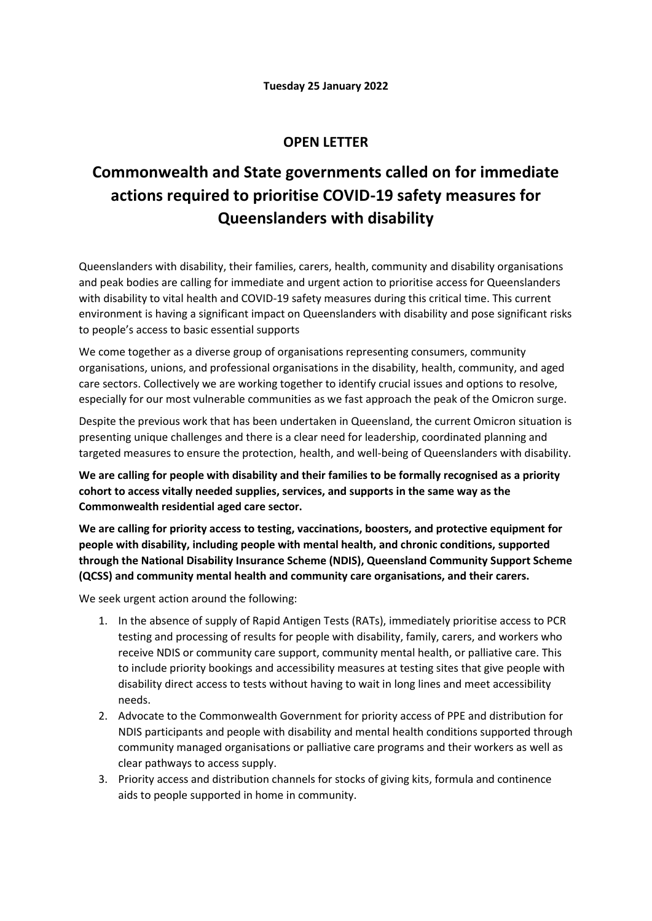## **OPEN LETTER**

## **Commonwealth and State governments called on for immediate actions required to prioritise COVID-19 safety measures for Queenslanders with disability**

Queenslanders with disability, their families, carers, health, community and disability organisations and peak bodies are calling for immediate and urgent action to prioritise access for Queenslanders with disability to vital health and COVID-19 safety measures during this critical time. This current environment is having a significant impact on Queenslanders with disability and pose significant risks to people's access to basic essential supports

We come together as a diverse group of organisations representing consumers, community organisations, unions, and professional organisations in the disability, health, community, and aged care sectors. Collectively we are working together to identify crucial issues and options to resolve, especially for our most vulnerable communities as we fast approach the peak of the Omicron surge.

Despite the previous work that has been undertaken in Queensland, the current Omicron situation is presenting unique challenges and there is a clear need for leadership, coordinated planning and targeted measures to ensure the protection, health, and well-being of Queenslanders with disability.

**We are calling for people with disability and their families to be formally recognised as a priority cohort to access vitally needed supplies, services, and supports in the same way as the Commonwealth residential aged care sector.** 

**We are calling for priority access to testing, vaccinations, boosters, and protective equipment for people with disability, including people with mental health, and chronic conditions, supported through the National Disability Insurance Scheme (NDIS), Queensland Community Support Scheme (QCSS) and community mental health and community care organisations, and their carers.** 

We seek urgent action around the following:

- 1. In the absence of supply of Rapid Antigen Tests (RATs), immediately prioritise access to PCR testing and processing of results for people with disability, family, carers, and workers who receive NDIS or community care support, community mental health, or palliative care. This to include priority bookings and accessibility measures at testing sites that give people with disability direct access to tests without having to wait in long lines and meet accessibility needs.
- 2. Advocate to the Commonwealth Government for priority access of PPE and distribution for NDIS participants and people with disability and mental health conditions supported through community managed organisations or palliative care programs and their workers as well as clear pathways to access supply.
- 3. Priority access and distribution channels for stocks of giving kits, formula and continence aids to people supported in home in community.